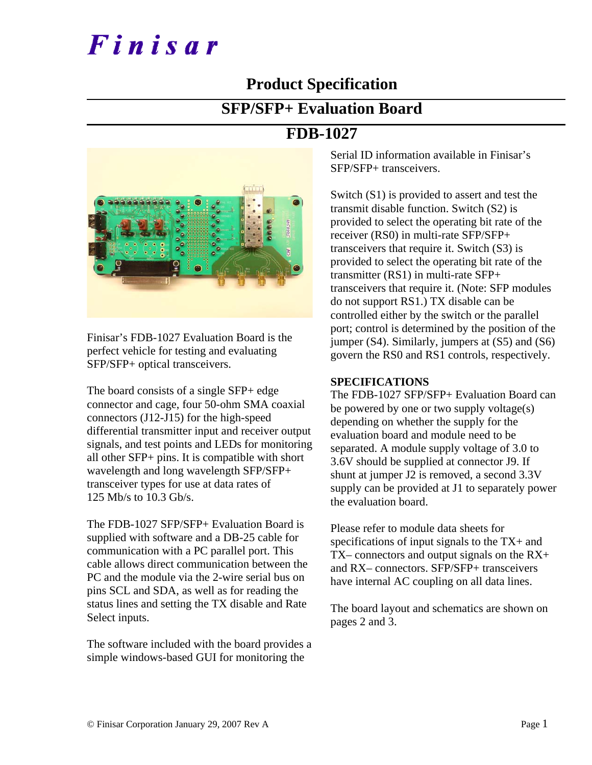# Finisar

### **Product Specification**

### **SFP/SFP+ Evaluation Board**

### **FDB-1027**



Finisar's FDB-1027 Evaluation Board is the perfect vehicle for testing and evaluating SFP/SFP+ optical transceivers.

The board consists of a single SFP+ edge connector and cage, four 50-ohm SMA coaxial connectors (J12-J15) for the high-speed differential transmitter input and receiver output signals, and test points and LEDs for monitoring all other SFP+ pins. It is compatible with short wavelength and long wavelength SFP/SFP+ transceiver types for use at data rates of 125 Mb/s to 10.3 Gb/s.

The FDB-1027 SFP/SFP+ Evaluation Board is supplied with software and a DB-25 cable for communication with a PC parallel port. This cable allows direct communication between the PC and the module via the 2-wire serial bus on pins SCL and SDA, as well as for reading the status lines and setting the TX disable and Rate Select inputs.

The software included with the board provides a simple windows-based GUI for monitoring the

Serial ID information available in Finisar's SFP/SFP+ transceivers.

Switch (S1) is provided to assert and test the transmit disable function. Switch (S2) is provided to select the operating bit rate of the receiver (RS0) in multi-rate SFP/SFP+ transceivers that require it. Switch (S3) is provided to select the operating bit rate of the transmitter (RS1) in multi-rate SFP+ transceivers that require it. (Note: SFP modules do not support RS1.) TX disable can be controlled either by the switch or the parallel port; control is determined by the position of the jumper  $(S4)$ . Similarly, jumpers at  $(S5)$  and  $(S6)$ govern the RS0 and RS1 controls, respectively.

#### **SPECIFICATIONS**

The FDB-1027 SFP/SFP+ Evaluation Board can be powered by one or two supply voltage(s) depending on whether the supply for the evaluation board and module need to be separated. A module supply voltage of 3.0 to 3.6V should be supplied at connector J9. If shunt at jumper J2 is removed, a second 3.3V supply can be provided at J1 to separately power the evaluation board.

Please refer to module data sheets for specifications of input signals to the TX+ and TX– connectors and output signals on the RX+ and RX– connectors. SFP/SFP+ transceivers have internal AC coupling on all data lines.

The board layout and schematics are shown on pages 2 and 3.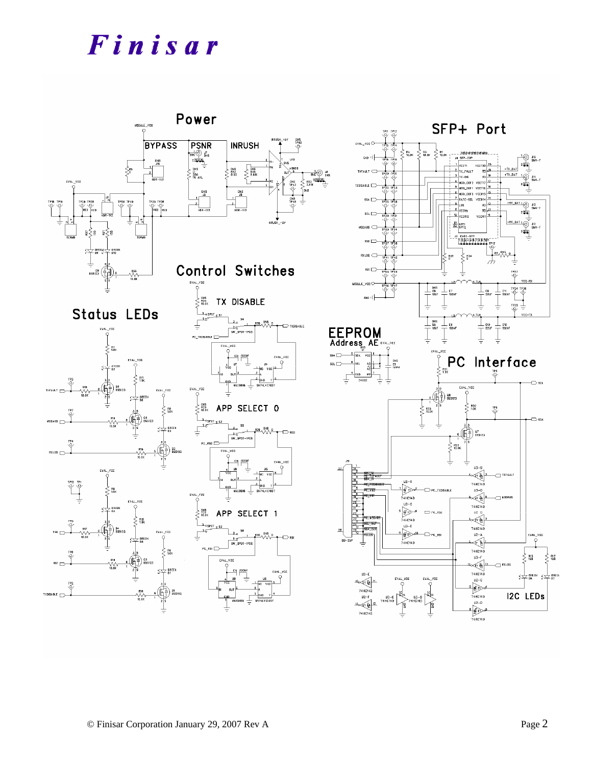# Finisar